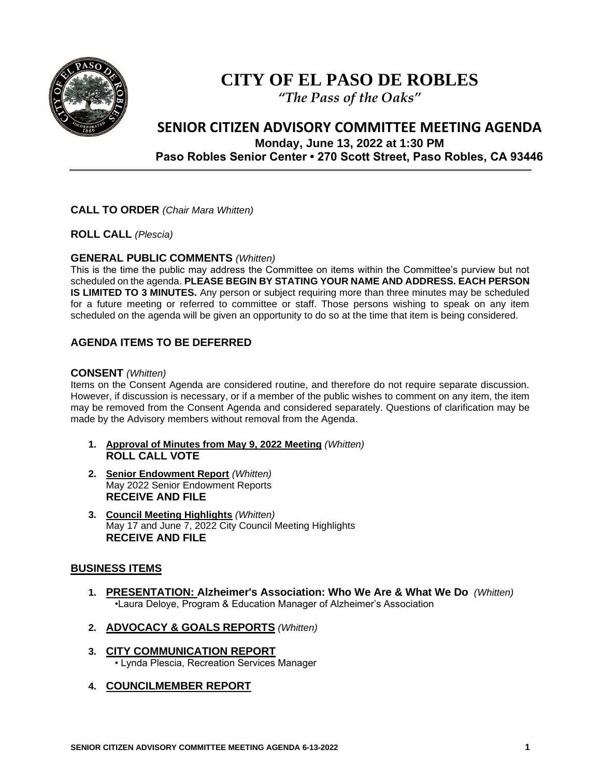

# **CITY OF EL PASO DE ROBLES**

*"The Pass of the Oaks"*

# **SENIOR CITIZEN ADVISORY COMMITTEE MEETING AGENDA Monday, June 13, 2022 at 1:30 PM**

**Paso Robles Senior Center • 270 Scott Street, Paso Robles, CA 93446**

## **CALL TO ORDER** *(Chair Mara Whitten)*

**ROLL CALL** *(Plescia)*

#### **GENERAL PUBLIC COMMENTS** *(Whitten)*

This is the time the public may address the Committee on items within the Committee's purview but not scheduled on the agenda. **PLEASE BEGIN BY STATING YOUR NAME AND ADDRESS. EACH PERSON IS LIMITED TO 3 MINUTES.** Any person or subject requiring more than three minutes may be scheduled for a future meeting or referred to committee or staff. Those persons wishing to speak on any item scheduled on the agenda will be given an opportunity to do so at the time that item is being considered.

# **AGENDA ITEMS TO BE DEFERRED**

#### **CONSENT** *(Whitten)*

Items on the Consent Agenda are considered routine, and therefore do not require separate discussion. However, if discussion is necessary, or if a member of the public wishes to comment on any item, the item may be removed from the Consent Agenda and considered separately. Questions of clarification may be made by the Advisory members without removal from the Agenda.

- **1. Approval of Minutes from May 9, 2022 Meeting** *(Whitten)*  **ROLL CALL VOTE**
- **2. Senior Endowment Report** *(Whitten)* May 2022 Senior Endowment Reports **RECEIVE AND FILE**
- **3. Council Meeting Highlights** *(Whitten)* May 17 and June 7, 2022 City Council Meeting Highlights **RECEIVE AND FILE**

#### **BUSINESS ITEMS**

- **1. PRESENTATION: Alzheimer's Association: Who We Are & What We Do** *(Whitten)* •Laura Deloye, Program & Education Manager of Alzheimer's Association
- **2. ADVOCACY & GOALS REPORTS** *(Whitten)*
- **3. CITY COMMUNICATION REPORT** • Lynda Plescia, Recreation Services Manager
- **4. COUNCILMEMBER REPORT**